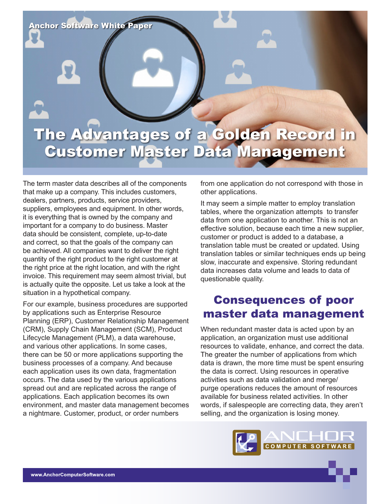

The term master data describes all of the components that make up a company. This includes customers, dealers, partners, products, service providers, suppliers, employees and equipment. In other words, it is everything that is owned by the company and important for a company to do business. Master data should be consistent, complete, up-to-date and correct, so that the goals of the company can be achieved. All companies want to deliver the right quantity of the right product to the right customer at the right price at the right location, and with the right invoice. This requirement may seem almost trivial, but is actually quite the opposite. Let us take a look at the situation in a hypothetical company.

For our example, business procedures are supported by applications such as Enterprise Resource Planning (ERP), Customer Relationship Management (CRM), Supply Chain Management (SCM), Product Lifecycle Management (PLM), a data warehouse, and various other applications. In some cases, there can be 50 or more applications supporting the business processes of a company. And because each application uses its own data, fragmentation occurs. The data used by the various applications spread out and are replicated across the range of applications. Each application becomes its own environment, and master data management becomes a nightmare. Customer, product, or order numbers

from one application do not correspond with those in other applications.

It may seem a simple matter to employ translation tables, where the organization attempts to transfer data from one application to another. This is not an effective solution, because each time a new supplier, customer or product is added to a database, a translation table must be created or updated. Using translation tables or similar techniques ends up being slow, inaccurate and expensive. Storing redundant data increases data volume and leads to data of questionable quality.

# Consequences of poor master data management

When redundant master data is acted upon by an application, an organization must use additional resources to validate, enhance, and correct the data. The greater the number of applications from which data is drawn, the more time must be spent ensuring the data is correct. Using resources in operative activities such as data validation and merge/ purge operations reduces the amount of resources available for business related activities. In other words, if salespeople are correcting data, they aren't selling, and the organization is losing money.

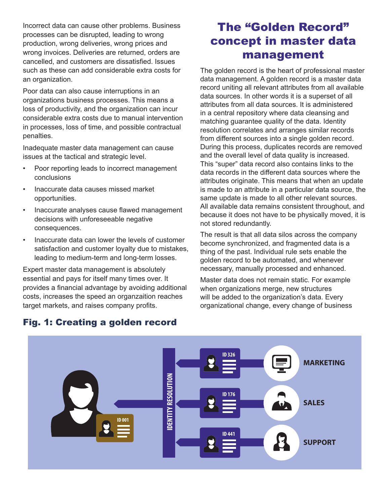Incorrect data can cause other problems. Business processes can be disrupted, leading to wrong production, wrong deliveries, wrong prices and wrong invoices. Deliveries are returned, orders are cancelled, and customers are dissatisfied. Issues such as these can add considerable extra costs for an organization.

Poor data can also cause interruptions in an organizations business processes. This means a loss of productivity, and the organization can incur considerable extra costs due to manual intervention in processes, loss of time, and possible contractual penalties.

Inadequate master data management can cause issues at the tactical and strategic level.

- Poor reporting leads to incorrect management conclusions
- Inaccurate data causes missed market opportunities.
- Inaccurate analyses cause flawed management decisions with unforeseeable negative consequences.
- Inaccurate data can lower the levels of customer satisfaction and customer loyalty due to mistakes, leading to medium-term and long-term losses.

Expert master data management is absolutely essential and pays for itself many times over. It provides a financial advantage by avoiding additional costs, increases the speed an organzaition reaches target markets, and raises company profits.

# The "Golden Record" concept in master data management

The golden record is the heart of professional master data management. A golden record is a master data record uniting all relevant attributes from all available data sources. In other words it is a superset of all attributes from all data sources. It is administered in a central repository where data cleansing and matching guarantee quality of the data. Identity resolution correlates and arranges similar records from different sources into a single golden record. During this process, duplicates records are removed and the overall level of data quality is increased. This "super" data record also contains links to the data records in the different data sources where the attributes originate. This means that when an update is made to an attribute in a particular data source, the same update is made to all other relevant sources. All available data remains consistent throughout, and because it does not have to be physically moved, it is not stored redundantly.

The result is that all data silos across the company become synchronized, and fragmented data is a thing of the past. Individual rule sets enable the golden record to be automated, and whenever necessary, manually processed and enhanced.

Master data does not remain static. For example when organizations merge, new structures will be added to the organization's data. Every organizational change, every change of business



## Fig. 1: Creating a golden record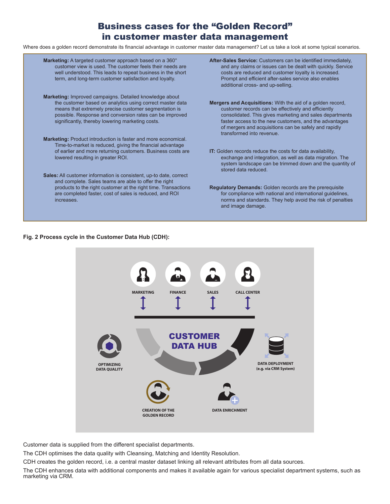## Business cases for the "Golden Record" in customer master data management

Where does a golden record demonstrate its financial advantage in customer master data management? Let us take a look at some typical scenarios.

| Marketing: A targeted customer approach based on a 360°<br>customer view is used. The customer feels their needs are<br>well understood. This leads to repeat business in the short<br>term, and long-term customer satisfaction and loyalty.                                                | After-Sales Service: Customers can be identified immediately,<br>and any claims or issues can be dealt with quickly. Service<br>costs are reduced and customer loyalty is increased.<br>Prompt and efficient after-sales service also enables<br>additional cross- and up-selling.                                                   |
|----------------------------------------------------------------------------------------------------------------------------------------------------------------------------------------------------------------------------------------------------------------------------------------------|--------------------------------------------------------------------------------------------------------------------------------------------------------------------------------------------------------------------------------------------------------------------------------------------------------------------------------------|
| Marketing: Improved campaigns. Detailed knowledge about<br>the customer based on analytics using correct master data<br>means that extremely precise customer segmentation is<br>possible. Response and conversion rates can be improved<br>significantly, thereby lowering marketing costs. | <b>Mergers and Acquisitions:</b> With the aid of a golden record,<br>customer records can be effectively and efficiently<br>consolidated. This gives marketing and sales departments<br>faster access to the new customers, and the advantages<br>of mergers and acquisitions can be safely and rapidly<br>transformed into revenue. |
| <b>Marketing:</b> Product introduction is faster and more economical.<br>Time-to-market is reduced, giving the financial advantage                                                                                                                                                           |                                                                                                                                                                                                                                                                                                                                      |
| of earlier and more returning customers. Business costs are<br>lowered resulting in greater ROI.                                                                                                                                                                                             | IT: Golden records reduce the costs for data availability,<br>exchange and integration, as well as data migration. The<br>system landscape can be trimmed down and the quantity of<br>stored data reduced.                                                                                                                           |
| <b>Sales:</b> All customer information is consistent, up-to date, correct<br>and complete. Sales teams are able to offer the right                                                                                                                                                           |                                                                                                                                                                                                                                                                                                                                      |
| products to the right customer at the right time. Transactions<br>are completed faster, cost of sales is reduced, and ROI<br>increases.                                                                                                                                                      | <b>Regulatory Demands:</b> Golden records are the prerequisite<br>for compliance with national and international guidelines,<br>norms and standards. They help avoid the risk of penalties<br>and image damage.                                                                                                                      |

### **Fig. 2 Process cycle in the Customer Data Hub (CDH):**



Customer data is supplied from the different specialist departments.

The CDH optimises the data quality with Cleansing, Matching and Identity Resolution.

CDH creates the golden record, i.e. a central master dataset linking all relevant attributes from all data sources.

The CDH enhances data with additional components and makes it available again for various specialist department systems, such as marketing via CRM.